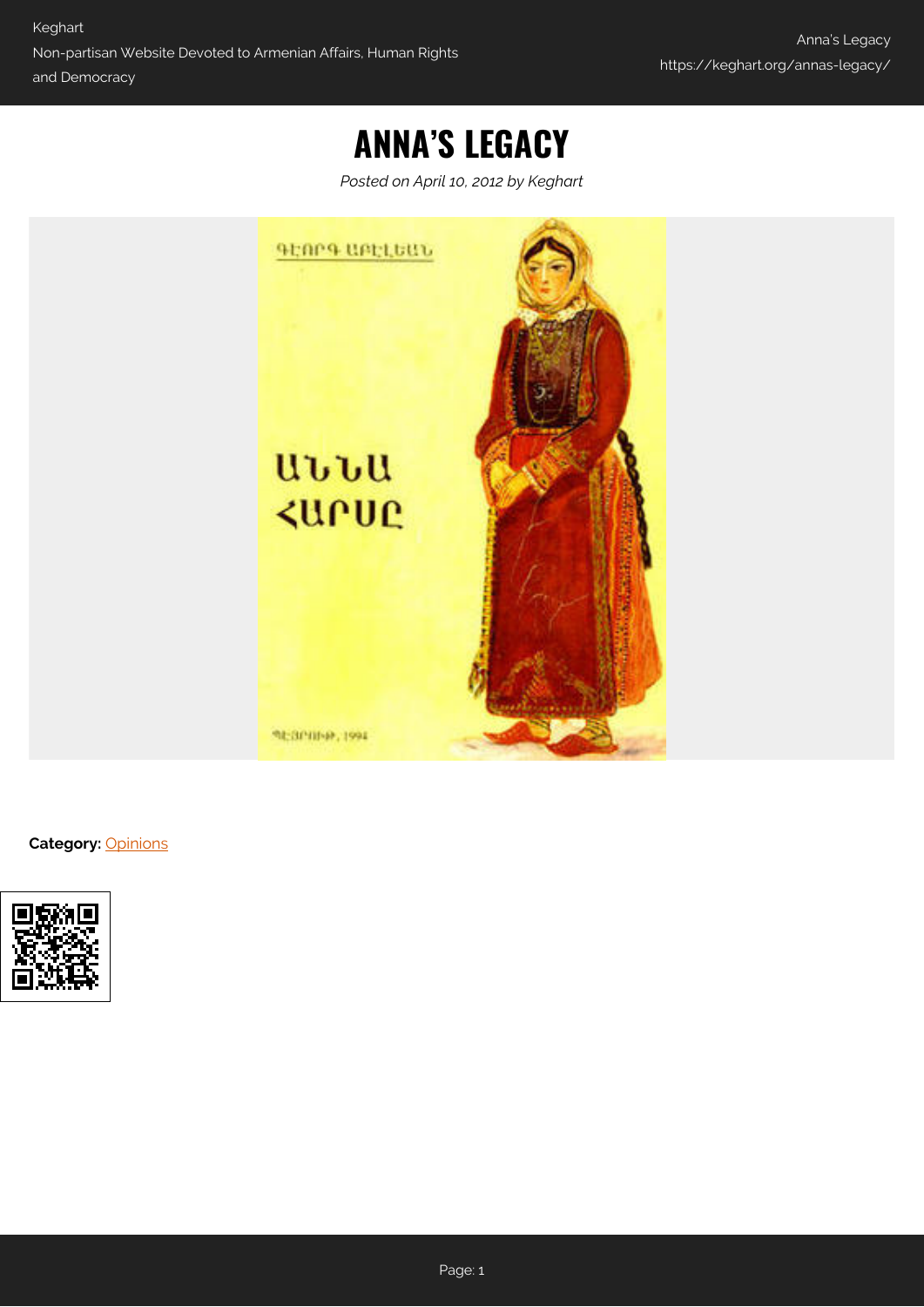# **ANNA'S LEGACY**

*Posted on April 10, 2012 by Keghart*



**Category:** [Opinions](https://keghart.org/category/opinions/)

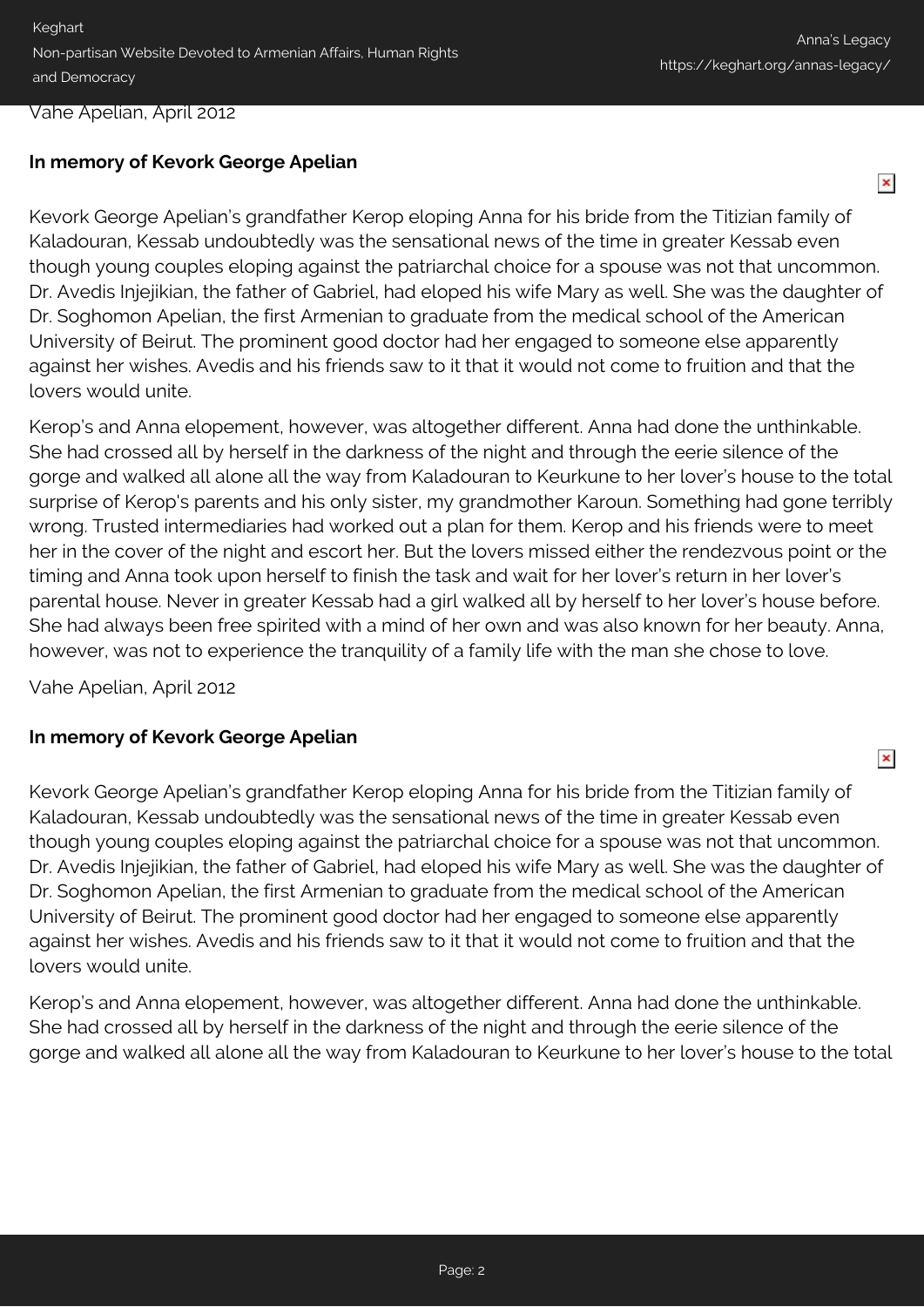$\pmb{\times}$ 

 $\pmb{\times}$ 

#### Vahe Apelian, April 2012

## **In memory of Kevork George Apelian**

Kevork George Apelian's grandfather Kerop eloping Anna for his bride from the Titizian family of Kaladouran, Kessab undoubtedly was the sensational news of the time in greater Kessab even though young couples eloping against the patriarchal choice for a spouse was not that uncommon. Dr. Avedis Injejikian, the father of Gabriel, had eloped his wife Mary as well. She was the daughter of Dr. Soghomon Apelian, the first Armenian to graduate from the medical school of the American University of Beirut. The prominent good doctor had her engaged to someone else apparently against her wishes. Avedis and his friends saw to it that it would not come to fruition and that the lovers would unite.

Kerop's and Anna elopement, however, was altogether different. Anna had done the unthinkable. She had crossed all by herself in the darkness of the night and through the eerie silence of the gorge and walked all alone all the way from Kaladouran to Keurkune to her lover's house to the total surprise of Kerop's parents and his only sister, my grandmother Karoun. Something had gone terribly wrong. Trusted intermediaries had worked out a plan for them. Kerop and his friends were to meet her in the cover of the night and escort her. But the lovers missed either the rendezvous point or the timing and Anna took upon herself to finish the task and wait for her lover's return in her lover's parental house. Never in greater Kessab had a girl walked all by herself to her lover's house before. She had always been free spirited with a mind of her own and was also known for her beauty. Anna, however, was not to experience the tranquility of a family life with the man she chose to love.

Vahe Apelian, April 2012

### **In memory of Kevork George Apelian**

Kevork George Apelian's grandfather Kerop eloping Anna for his bride from the Titizian family of Kaladouran, Kessab undoubtedly was the sensational news of the time in greater Kessab even though young couples eloping against the patriarchal choice for a spouse was not that uncommon. Dr. Avedis Injejikian, the father of Gabriel, had eloped his wife Mary as well. She was the daughter of Dr. Soghomon Apelian, the first Armenian to graduate from the medical school of the American University of Beirut. The prominent good doctor had her engaged to someone else apparently against her wishes. Avedis and his friends saw to it that it would not come to fruition and that the lovers would unite.

Kerop's and Anna elopement, however, was altogether different. Anna had done the unthinkable. She had crossed all by herself in the darkness of the night and through the eerie silence of the gorge and walked all alone all the way from Kaladouran to Keurkune to her lover's house to the total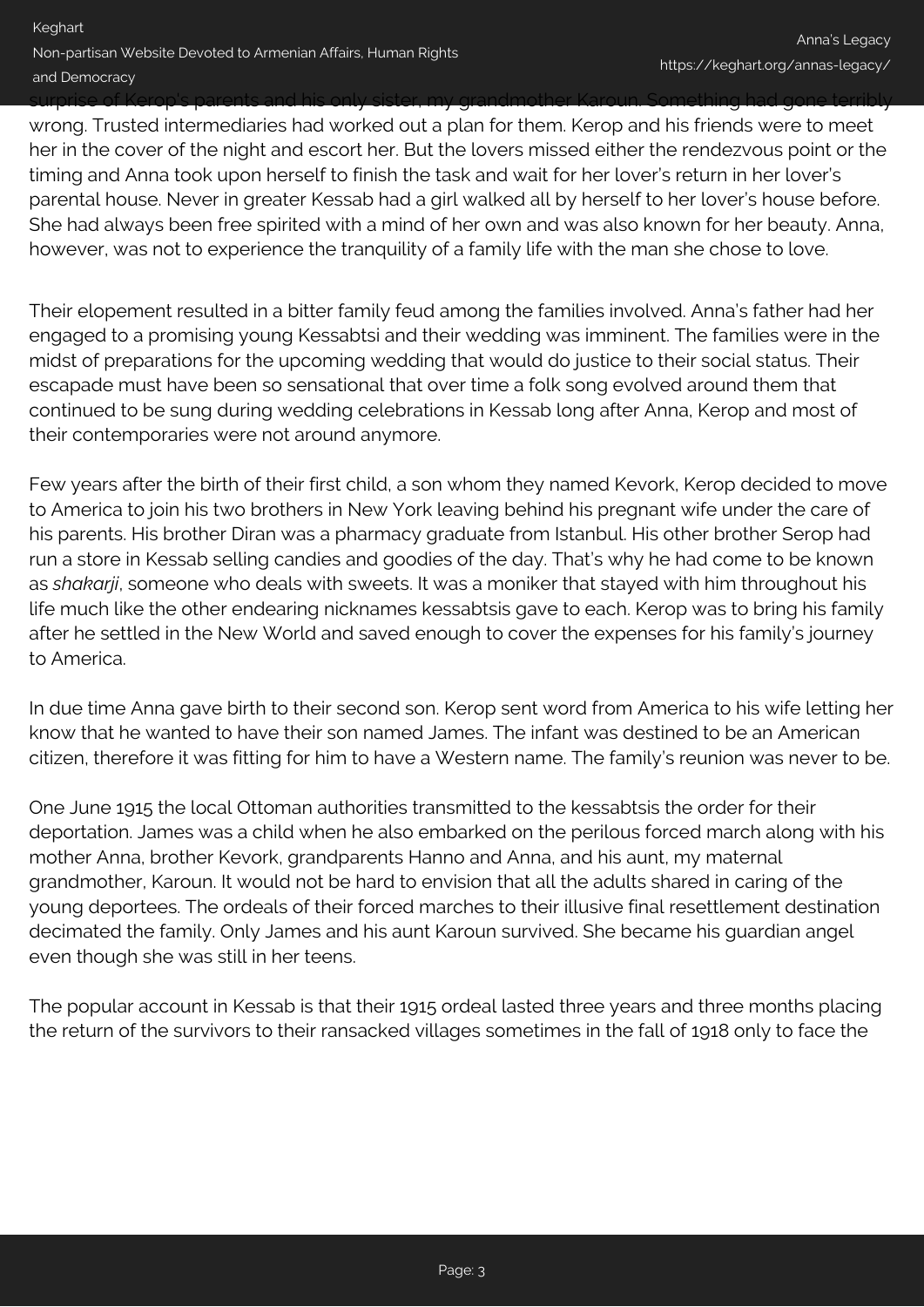## surprise of Kerop's parents and his only sister, my grandmother Karoun. Something had gone terribly wrong. Trusted intermediaries had worked out a plan for them. Kerop and his friends were to meet her in the cover of the night and escort her. But the lovers missed either the rendezvous point or the timing and Anna took upon herself to finish the task and wait for her lover's return in her lover's parental house. Never in greater Kessab had a girl walked all by herself to her lover's house before. She had always been free spirited with a mind of her own and was also known for her beauty. Anna, however, was not to experience the tranquility of a family life with the man she chose to love.

Their elopement resulted in a bitter family feud among the families involved. Anna's father had her engaged to a promising young Kessabtsi and their wedding was imminent. The families were in the midst of preparations for the upcoming wedding that would do justice to their social status. Their escapade must have been so sensational that over time a folk song evolved around them that continued to be sung during wedding celebrations in Kessab long after Anna, Kerop and most of their contemporaries were not around anymore.

Few years after the birth of their first child, a son whom they named Kevork, Kerop decided to move to America to join his two brothers in New York leaving behind his pregnant wife under the care of his parents. His brother Diran was a pharmacy graduate from Istanbul. His other brother Serop had run a store in Kessab selling candies and goodies of the day. That's why he had come to be known as *shakarji*, someone who deals with sweets. It was a moniker that stayed with him throughout his life much like the other endearing nicknames kessabtsis gave to each. Kerop was to bring his family after he settled in the New World and saved enough to cover the expenses for his family's journey to America.

In due time Anna gave birth to their second son. Kerop sent word from America to his wife letting her know that he wanted to have their son named James. The infant was destined to be an American citizen, therefore it was fitting for him to have a Western name. The family's reunion was never to be.

One June 1915 the local Ottoman authorities transmitted to the kessabtsis the order for their deportation. James was a child when he also embarked on the perilous forced march along with his mother Anna, brother Kevork, grandparents Hanno and Anna, and his aunt, my maternal grandmother, Karoun. It would not be hard to envision that all the adults shared in caring of the young deportees. The ordeals of their forced marches to their illusive final resettlement destination decimated the family. Only James and his aunt Karoun survived. She became his guardian angel even though she was still in her teens.

The popular account in Kessab is that their 1915 ordeal lasted three years and three months placing the return of the survivors to their ransacked villages sometimes in the fall of 1918 only to face the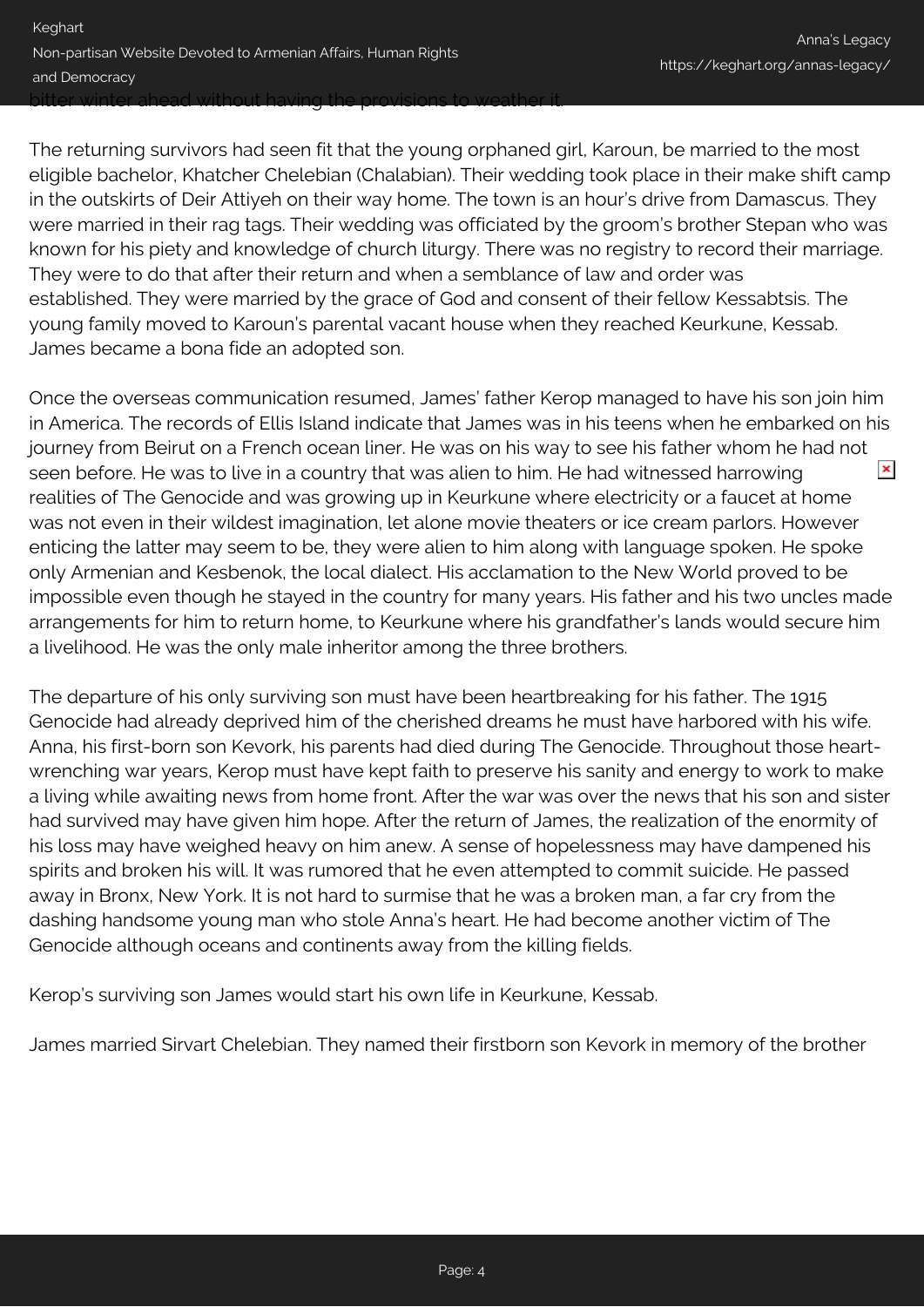The returning survivors had seen fit that the young orphaned girl, Karoun, be married to the most eligible bachelor, Khatcher Chelebian (Chalabian). Their wedding took place in their make shift camp in the outskirts of Deir Attiyeh on their way home. The town is an hour's drive from Damascus. They were married in their rag tags. Their wedding was officiated by the groom's brother Stepan who was known for his piety and knowledge of church liturgy. There was no registry to record their marriage. They were to do that after their return and when a semblance of law and order was established. They were married by the grace of God and consent of their fellow Kessabtsis. The young family moved to Karoun's parental vacant house when they reached Keurkune, Kessab. James became a bona fide an adopted son.

Once the overseas communication resumed, James' father Kerop managed to have his son join him in America. The records of Ellis Island indicate that James was in his teens when he embarked on his journey from Beirut on a French ocean liner. He was on his way to see his father whom he had not  $\pmb{\times}$ seen before. He was to live in a country that was alien to him. He had witnessed harrowing realities of The Genocide and was growing up in Keurkune where electricity or a faucet at home was not even in their wildest imagination, let alone movie theaters or ice cream parlors. However enticing the latter may seem to be, they were alien to him along with language spoken. He spoke only Armenian and Kesbenok, the local dialect. His acclamation to the New World proved to be impossible even though he stayed in the country for many years. His father and his two uncles made arrangements for him to return home, to Keurkune where his grandfather's lands would secure him a livelihood. He was the only male inheritor among the three brothers.

The departure of his only surviving son must have been heartbreaking for his father. The 1915 Genocide had already deprived him of the cherished dreams he must have harbored with his wife. Anna, his first-born son Kevork, his parents had died during The Genocide. Throughout those heartwrenching war years, Kerop must have kept faith to preserve his sanity and energy to work to make a living while awaiting news from home front. After the war was over the news that his son and sister had survived may have given him hope. After the return of James, the realization of the enormity of his loss may have weighed heavy on him anew. A sense of hopelessness may have dampened his spirits and broken his will. It was rumored that he even attempted to commit suicide. He passed away in Bronx, New York. It is not hard to surmise that he was a broken man, a far cry from the dashing handsome young man who stole Anna's heart. He had become another victim of The Genocide although oceans and continents away from the killing fields.

Kerop's surviving son James would start his own life in Keurkune, Kessab.

James married Sirvart Chelebian. They named their firstborn son Kevork in memory of the brother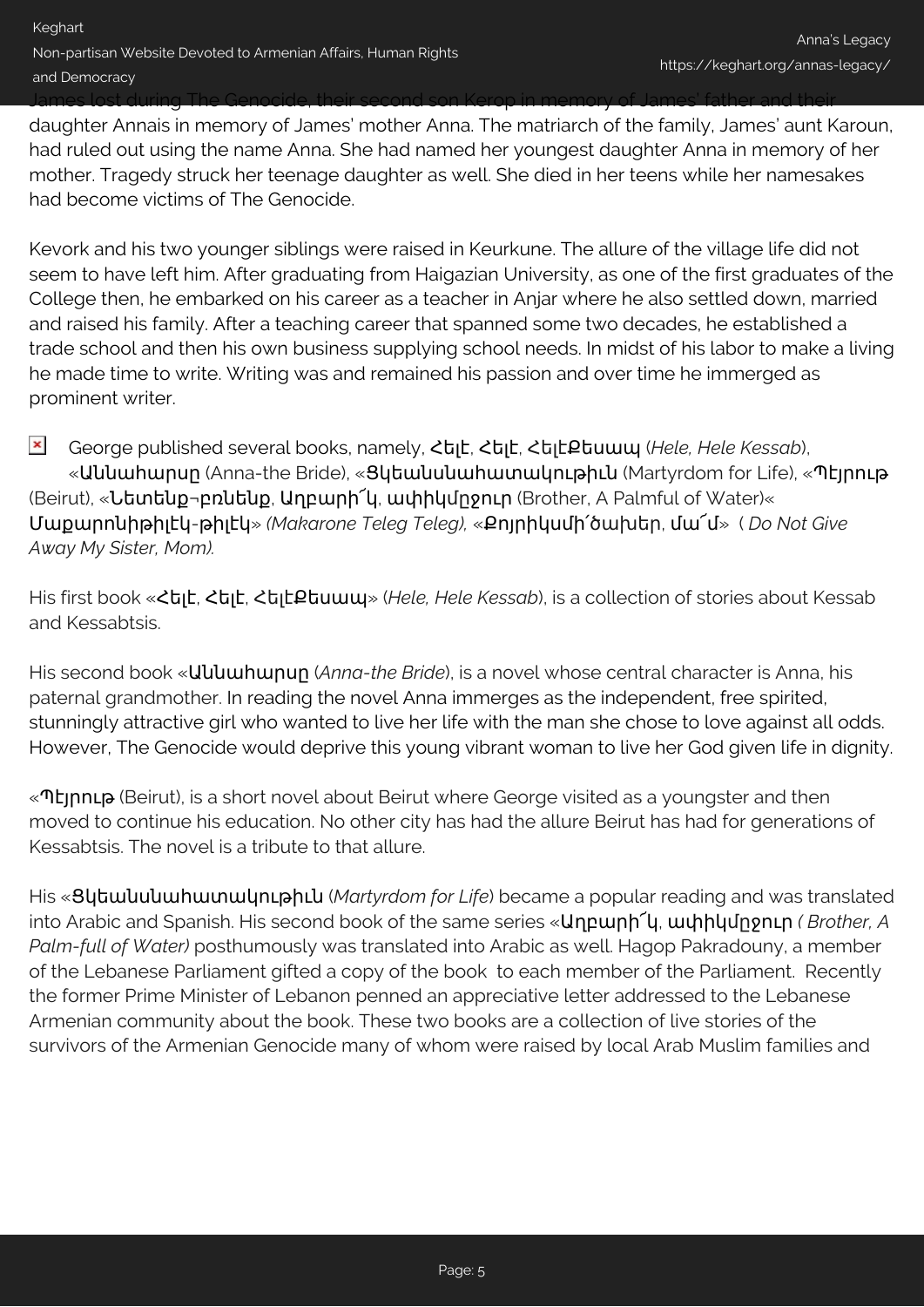James lost during The Genocide, their second son Kerop in memory of James' father and their

daughter Annais in memory of James' mother Anna. The matriarch of the family, James' aunt Karoun, had ruled out using the name Anna. She had named her youngest daughter Anna in memory of her mother. Tragedy struck her teenage daughter as well. She died in her teens while her namesakes had become victims of The Genocide.

Kevork and his two younger siblings were raised in Keurkune. The allure of the village life did not seem to have left him. After graduating from Haigazian University, as one of the first graduates of the College then, he embarked on his career as a teacher in Anjar where he also settled down, married and raised his family. After a teaching career that spanned some two decades, he established a trade school and then his own business supplying school needs. In midst of his labor to make a living he made time to write. Writing was and remained his passion and over time he immerged as prominent writer.

 $\pmb{\times}$ George published several books, namely, Հելէ, Հելէ, ՀելէՔեսապ (*Hele, Hele Kessab*), «Աննահարսը (Anna-the Bride), «Ցկեանսնահատակութիւն (Martyrdom for Life), «Պէյրութ (Beirut), «Նետենք¬բռնենք, Աղբարի՜կ, ափիկմըջուր (Brother, A Palmful of Water)« Մաքարոնիթիլէկ-թիլէկ» *(Makarone Teleg Teleg),* «Քոյրիկսմի՛ծախեր, մա՜մ» ( *Do Not Give Away My Sister, Mom).*

His first book «Հելէ, Հելէ, ՀելէՔեսապ» (*Hele, Hele Kessab*), is a collection of stories about Kessab and Kessabtsis.

His second book «Աննահարսը (*Anna-the Bride*), is a novel whose central character is Anna, his paternal grandmother. In reading the novel Anna immerges as the independent, free spirited, stunningly attractive girl who wanted to live her life with the man she chose to love against all odds. However, The Genocide would deprive this young vibrant woman to live her God given life in dignity.

«Պէյրութ (Beirut), is a short novel about Beirut where George visited as a youngster and then moved to continue his education. No other city has had the allure Beirut has had for generations of Kessabtsis. The novel is a tribute to that allure.

His «Ցկեանսնահատակութիւն (*Martyrdom for Life*) became a popular reading and was translated into Arabic and Spanish. His second book of the same series «Աղբարի՜կ, ափիկմըջուր *( Brother, A Palm-full of Water)* posthumously was translated into Arabic as well. Hagop Pakradouny, a member of the Lebanese Parliament gifted a copy of the book to each member of the Parliament. Recently the former Prime Minister of Lebanon penned an appreciative letter addressed to the Lebanese Armenian community about the book. These two books are a collection of live stories of the survivors of the Armenian Genocide many of whom were raised by local Arab Muslim families and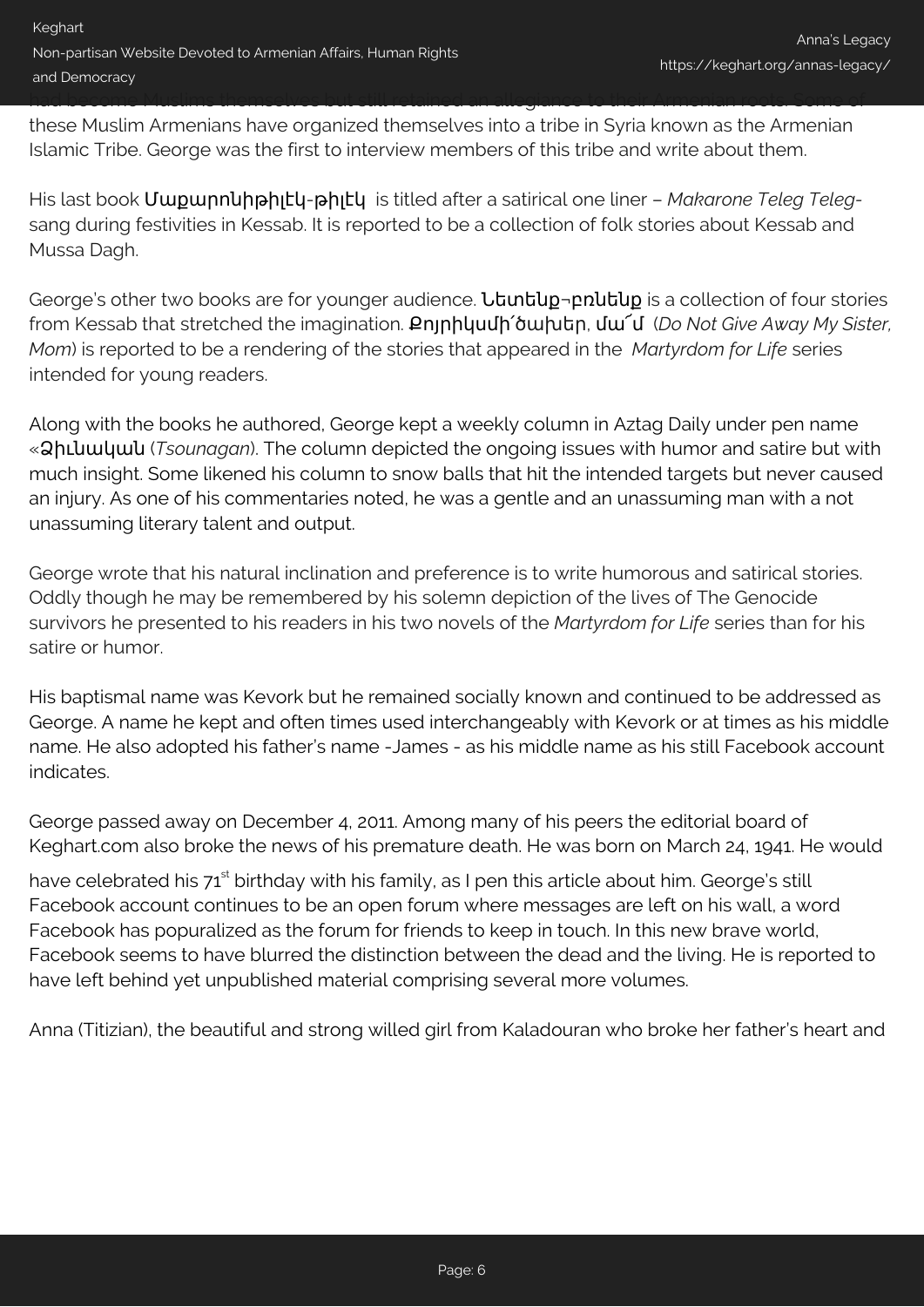these Muslim Armenians have organized themselves into a tribe in Syria known as the Armenian Islamic Tribe. George was the first to interview members of this tribe and write about them.

had become Muslims themselves but still retained an allegiance to their Armenian roots. Some of

His last book Մաքարոնիթիլէկ-թիլէկ is titled after a satirical one liner – *Makarone Teleg Teleg*sang during festivities in Kessab. It is reported to be a collection of folk stories about Kessab and Mussa Dagh.

George's other two books are for younger audience. *Ltuntug-pnutug* is a collection of four stories from Kessab that stretched the imagination. Քոյրիկսմի՛ծախեր, մա՜մ (*Do Not Give Away My Sister, Mom*) is reported to be a rendering of the stories that appeared in the *Martyrdom for Life* series intended for young readers.

Along with the books he authored, George kept a weekly column in Aztag Daily under pen name «Ձիւնական (*Tsounagan*). The column depicted the ongoing issues with humor and satire but with much insight. Some likened his column to snow balls that hit the intended targets but never caused an injury. As one of his commentaries noted, he was a gentle and an unassuming man with a not unassuming literary talent and output.

George wrote that his natural inclination and preference is to write humorous and satirical stories. Oddly though he may be remembered by his solemn depiction of the lives of The Genocide survivors he presented to his readers in his two novels of the *Martyrdom for Life* series than for his satire or humor.

His baptismal name was Kevork but he remained socially known and continued to be addressed as George. A name he kept and often times used interchangeably with Kevork or at times as his middle name. He also adopted his father's name -James - as his middle name as his still Facebook account indicates.

George passed away on December 4, 2011. Among many of his peers the editorial board of Keghart.com also broke the news of his premature death. He was born on March 24, 1941. He would

have celebrated his 71<sup>st</sup> birthday with his family, as I pen this article about him. George's still Facebook account continues to be an open forum where messages are left on his wall, a word Facebook has popuralized as the forum for friends to keep in touch. In this new brave world, Facebook seems to have blurred the distinction between the dead and the living. He is reported to have left behind yet unpublished material comprising several more volumes.

Anna (Titizian), the beautiful and strong willed girl from Kaladouran who broke her father's heart and